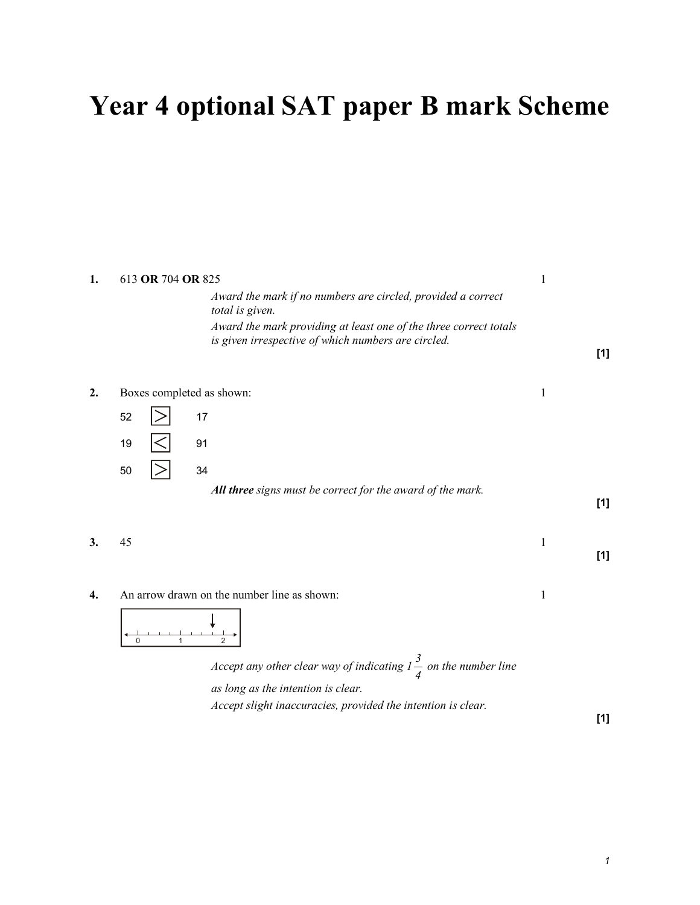# Year 4 optional SAT paper B mark Scheme

| 1. | 613 OR 704 OR 825                                                                                                        |   |     |
|----|--------------------------------------------------------------------------------------------------------------------------|---|-----|
|    | Award the mark if no numbers are circled, provided a correct<br>total is given.                                          |   |     |
|    | Award the mark providing at least one of the three correct totals<br>is given irrespective of which numbers are circled. |   | [1] |
| 2. | Boxes completed as shown:                                                                                                | 1 |     |
|    | 52<br>17                                                                                                                 |   |     |
|    | 19<br>91                                                                                                                 |   |     |
|    | 34<br>50                                                                                                                 |   |     |
|    | All three signs must be correct for the award of the mark.                                                               |   | [1] |
| 3. | 45                                                                                                                       | 1 | [1] |
| 4. | An arrow drawn on the number line as shown:                                                                              | 1 |     |
|    | $\mathbf{0}$<br>$\overline{2}$<br>1                                                                                      |   |     |
|    | Accept any other clear way of indicating $l \frac{3}{4}$ on the number line                                              |   |     |
|    | as long as the intention is clear.                                                                                       |   |     |
|    | Accept slight inaccuracies, provided the intention is clear.                                                             |   | [1] |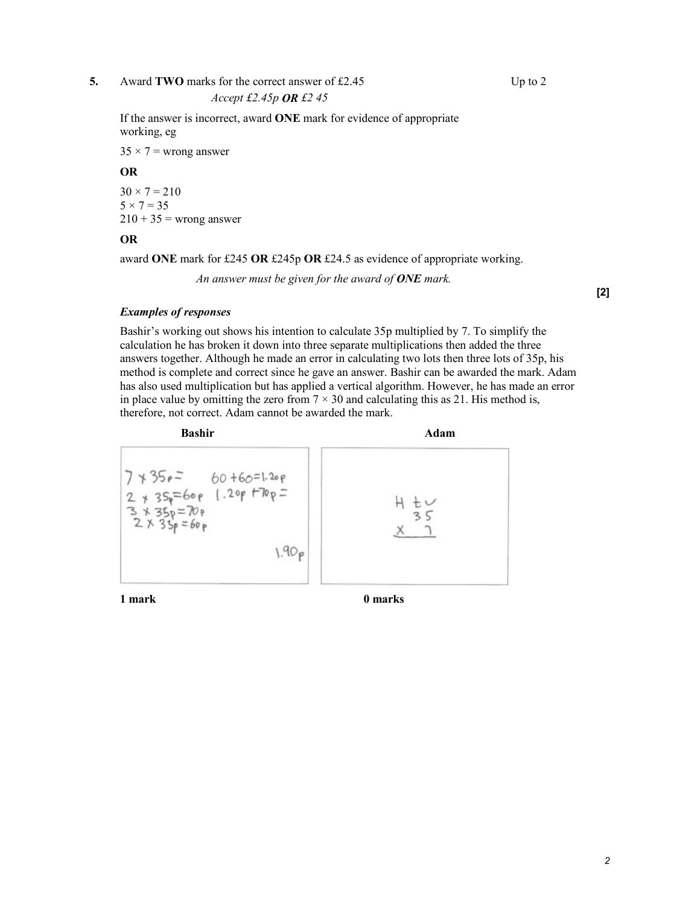#### 5. Award TWO marks for the correct answer of £2.45 Up to 2

#### Accept £2.45p OR £2 45

 If the answer is incorrect, award ONE mark for evidence of appropriate working, eg

 $35 \times 7$  = wrong answer

#### OR

 $30 \times 7 = 210$  $5 \times 7 = 35$  $210 + 35$  = wrong answer

#### OR

award ONE mark for £245 OR £245p OR £24.5 as evidence of appropriate working.

An answer must be given for the award of  $\overline{ONE}$  mark.

[2]

### Examples of responses

 Bashir's working out shows his intention to calculate 35p multiplied by 7. To simplify the calculation he has broken it down into three separate multiplications then added the three answers together. Although he made an error in calculating two lots then three lots of 35p, his method is complete and correct since he gave an answer. Bashir can be awarded the mark. Adam has also used multiplication but has applied a vertical algorithm. However, he has made an error in place value by omitting the zero from  $7 \times 30$  and calculating this as 21. His method is, therefore, not correct. Adam cannot be awarded the mark.



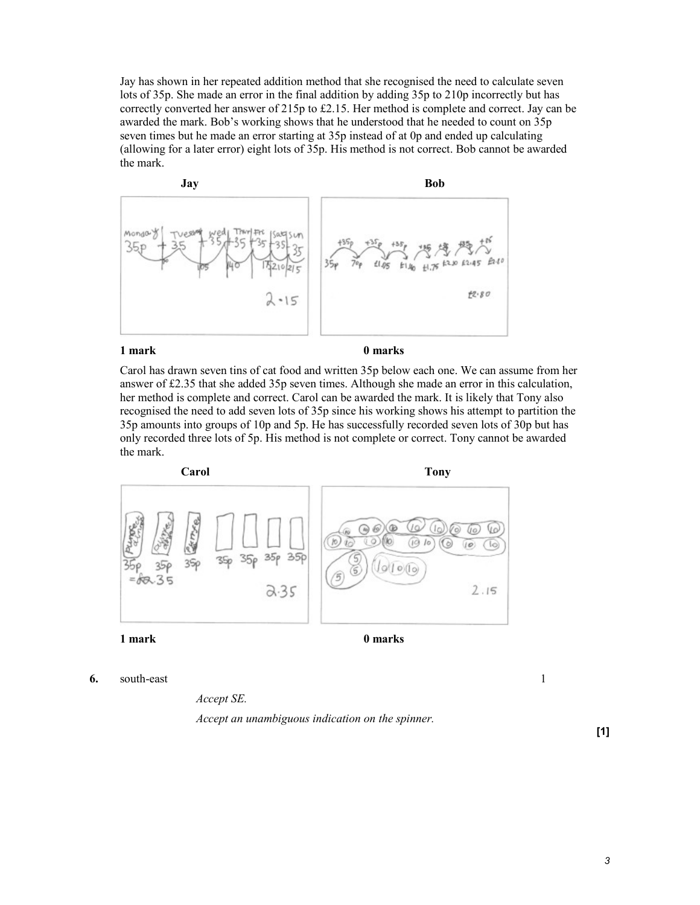Jay has shown in her repeated addition method that she recognised the need to calculate seven lots of 35p. She made an error in the final addition by adding 35p to 210p incorrectly but has correctly converted her answer of 215p to £2.15. Her method is complete and correct. Jay can be awarded the mark. Bob's working shows that he understood that he needed to count on 35p seven times but he made an error starting at 35p instead of at 0p and ended up calculating (allowing for a later error) eight lots of 35p. His method is not correct. Bob cannot be awarded the mark.



#### 1 mark 0 marks

 Carol has drawn seven tins of cat food and written 35p below each one. We can assume from her answer of £2.35 that she added 35p seven times. Although she made an error in this calculation, her method is complete and correct. Carol can be awarded the mark. It is likely that Tony also recognised the need to add seven lots of 35p since his working shows his attempt to partition the 35p amounts into groups of 10p and 5p. He has successfully recorded seven lots of 30p but has only recorded three lots of 5p. His method is not complete or correct. Tony cannot be awarded the mark.



6. south-east  $1$ 

Accept SE.

Accept an unambiguous indication on the spinner.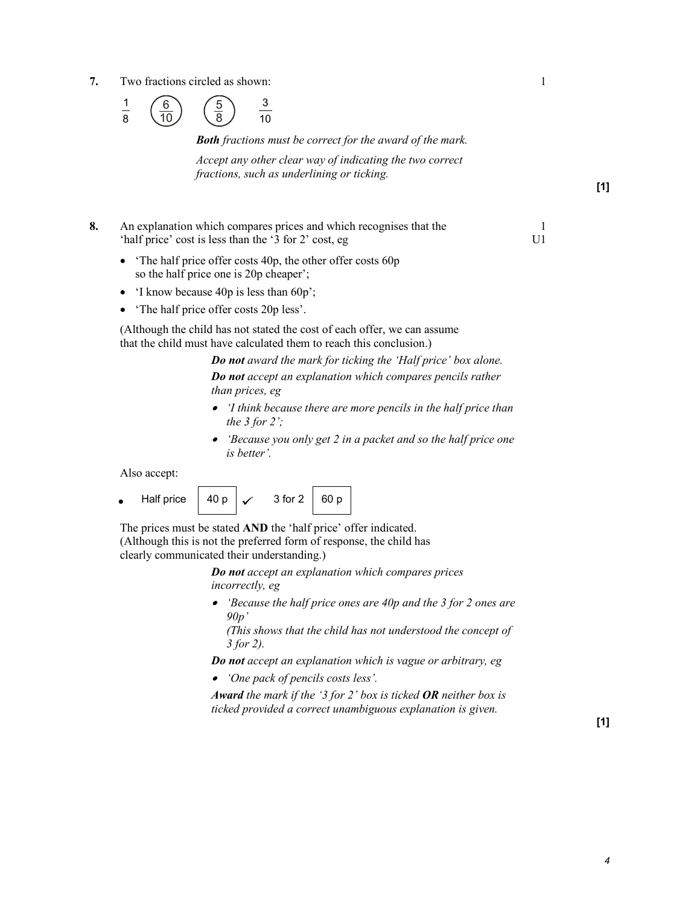7. Two fractions circled as shown: 1



Both fractions must be correct for the award of the mark.

Accept any other clear way of indicating the two correct fractions, such as underlining or ticking.

- 8. An explanation which compares prices and which recognises that the 1 'half price' cost is less than the '3 for 2' cost, eg U1
	- The half price offer costs 40p, the other offer costs 60p so the half price one is 20p cheaper';
	- 'I know because 40p is less than 60p';
	- The half price offer costs 20p less'.

 (Although the child has not stated the cost of each offer, we can assume that the child must have calculated them to reach this conclusion.)

> Do not award the mark for ticking the 'Half price' box alone. Do not accept an explanation which compares pencils rather than prices, eg

- 'I think because there are more pencils in the half price than the 3 for 2';
- 'Because you only get 2 in a packet and so the half price one is better'.

Also accept:

Half price  $40 p \sim 3$  for  $2 \approx 60 p$ 

 The prices must be stated AND the 'half price' offer indicated. (Although this is not the preferred form of response, the child has clearly communicated their understanding.)

> Do not accept an explanation which compares prices incorrectly, eg

• 'Because the half price ones are 40p and the 3 for 2 ones are  $90p'$ 

(This shows that the child has not understood the concept of 3 for 2).

Do not accept an explanation which is vague or arbitrary, eg

• 'One pack of pencils costs less'.

Award the mark if the '3 for 2' box is ticked OR neither box is ticked provided a correct unambiguous explanation is given.

[1]

[1]

 $\overline{4}$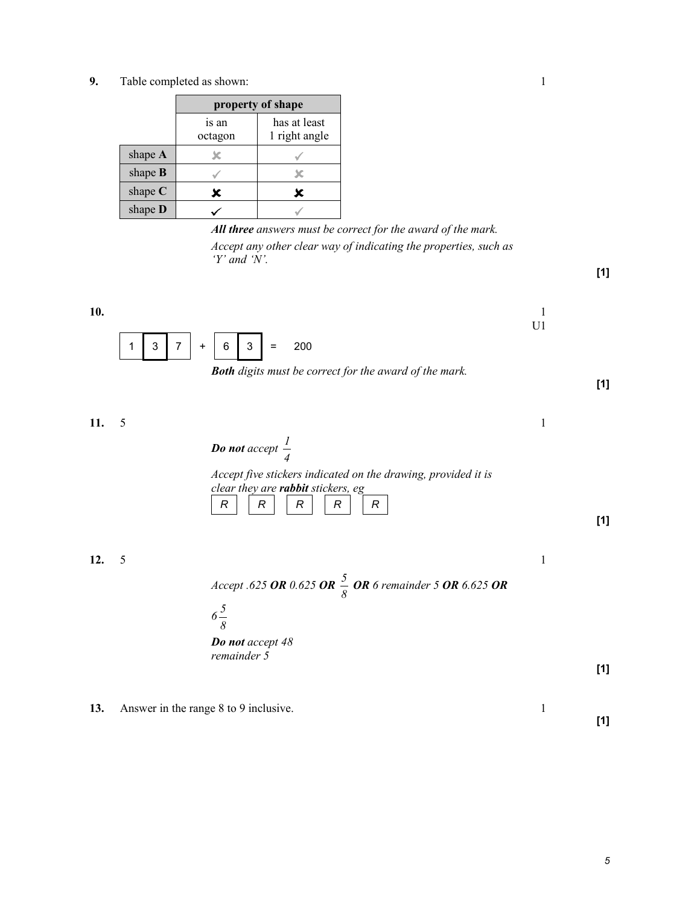9. Table completed as shown: 1

|                | property of shape |                               |
|----------------|-------------------|-------------------------------|
|                | is an<br>octagon  | has at least<br>1 right angle |
| shape A        |                   |                               |
| shape $B$      |                   |                               |
| shape $C$      |                   | x                             |
| shape <b>D</b> |                   |                               |

All three answers must be correct for the award of the mark. Accept any other clear way of indicating the properties, such as 'Y' and 'N'.

- **10.**  $\frac{1}{2}$ U1  $1 \mid 3 \mid 7 \mid + \mid 6 \mid 3 \mid = 200$ 
	- Both digits must be correct for the award of the mark.

**11.** 5 1 Do not accept 4 1 Accept five stickers indicated on the drawing, provided it is clear they are rabbit stickers, eg  $R$   $\mid$   $\mid$   $R$   $\mid$   $\mid$   $R$   $\mid$   $\mid$   $\mid$   $R$   $\mid$   $\mid$   $\mid$   $R$ 

**12.** 5 1

Accept .625 OR 0.625 OR  $\frac{3}{8}$  $\frac{5}{6}$  OR 6 remainder 5 OR 6.625 OR

 $S_{\rm 5}$ 



13. Answer in the range 8 to 9 inclusive. 1

[1]

[1]

[1]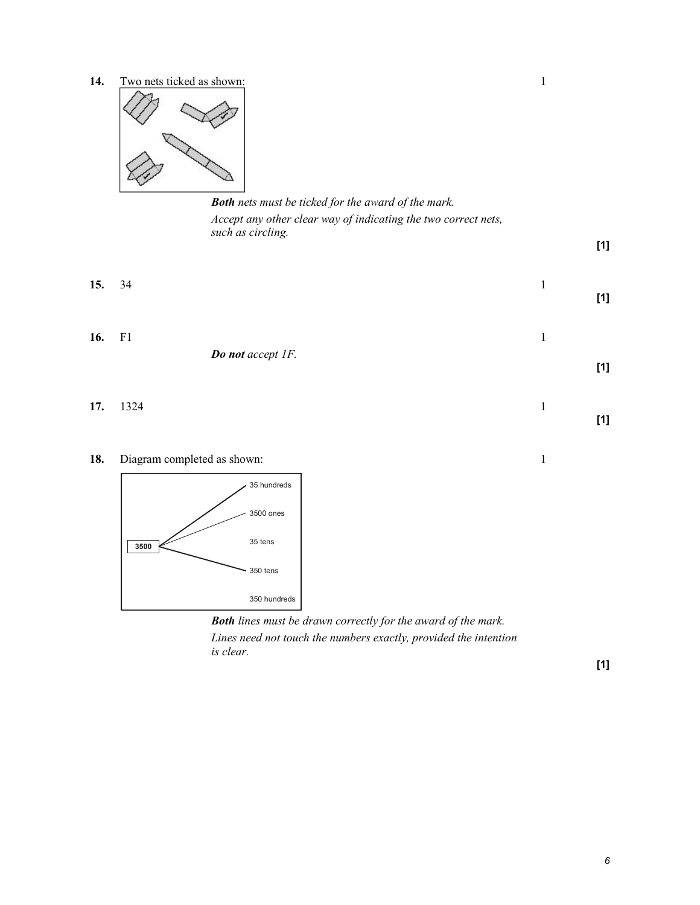14. Two nets ticked as shown: 1



Both nets must be ticked for the award of the mark. Accept any other clear way of indicating the two correct nets, such as circling.

**15.** 34 1



[1]

[1]

[1]

**16.** F1 1 Do not accept 1F.

**17.** 1324 **1** 

18. Diagram completed as shown: 1



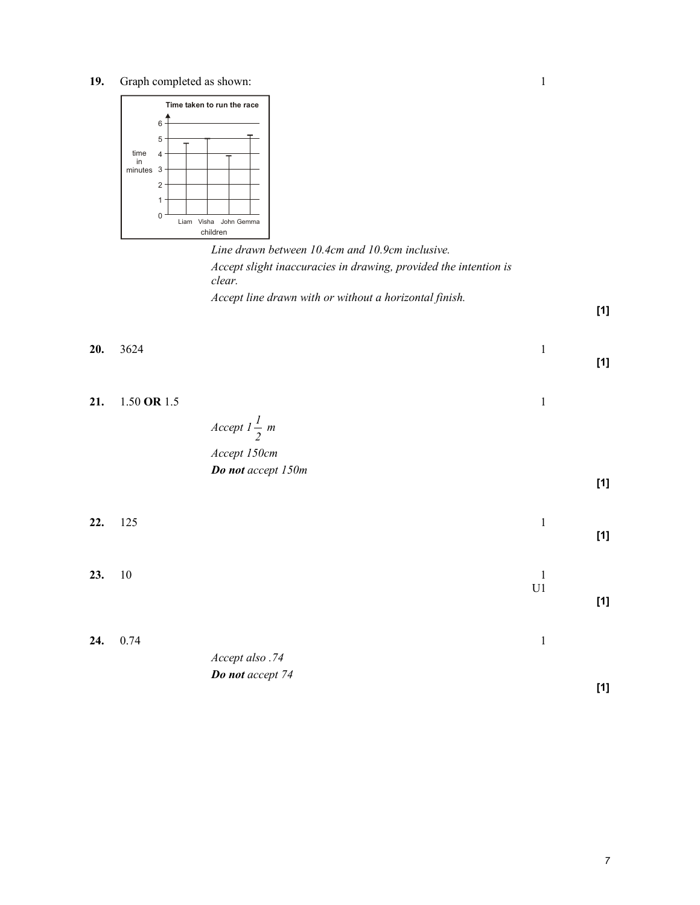19. Graph completed as shown: 1



Line drawn between 10.4cm and 10.9cm inclusive. Accept slight inaccuracies in drawing, provided the intention is clear. Accept line drawn with or without a horizontal finish.

[1]

[1]

| 20. 3624                   |                |  | [1] |
|----------------------------|----------------|--|-----|
| 21. $1.50 \text{ OR } 1.5$ | Accept $l - m$ |  |     |

## 2 Accept 150cm Do not accept 150m

| 22. | 125  |                  | 1                   | $[1]$ |
|-----|------|------------------|---------------------|-------|
| 23. | 10   |                  | 1<br>U <sub>1</sub> | $[1]$ |
| 24. | 0.74 | Accept also .74  | 1                   |       |
|     |      | Do not accept 74 |                     | [1]   |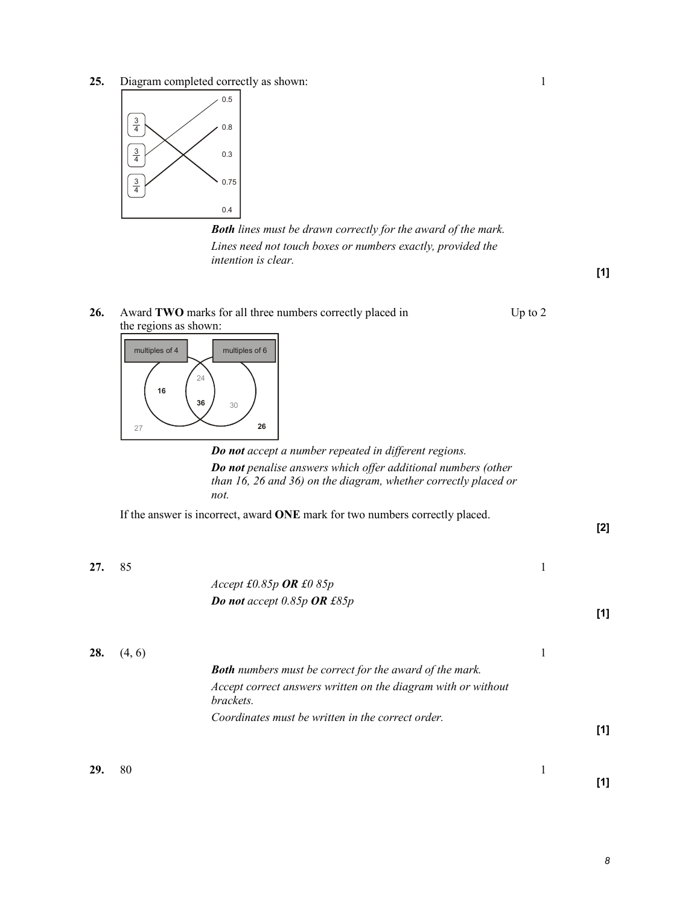25. Diagram completed correctly as shown: 1



**Both** lines must be drawn correctly for the award of the mark. Lines need not touch boxes or numbers exactly, provided the intention is clear.

[1]

[2]

[1]



Do not accept a number repeated in different regions. Do not penalise answers which offer additional numbers (other than 16, 26 and 36) on the diagram, whether correctly placed or not.

If the answer is incorrect, award ONE mark for two numbers correctly placed.

26. Award TWO marks for all three numbers correctly placed in Up to 2

**27.** 85 1

Accept £0.85p OR £0 85p Do not accept 0.85p OR £85p

**28.**  $(4, 6)$  1 Both numbers must be correct for the award of the mark. Accept correct answers written on the diagram with or without brackets. Coordinates must be written in the correct order. [1]

**29.** 80 **1**